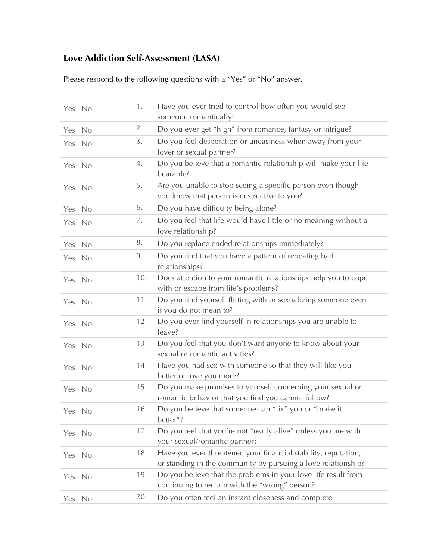## **Love Addiction Self-Assessment (LASA)**

Please respond to the following questions with a "Yes" or "No" answer.

| Yes No     |      | 1.  | Have you ever tried to control how often you would see<br>someone romantically?                                                 |
|------------|------|-----|---------------------------------------------------------------------------------------------------------------------------------|
| Yes        | No   | 2.  | Do you ever get "high" from romance, fantasy or intrigue?                                                                       |
| Yes No     |      | 3.  | Do you feel desperation or uneasiness when away from your<br>lover or sexual partner?                                           |
| Yes No     |      | 4.  | Do you believe that a romantic relationship will make your life<br>bearable?                                                    |
| Yes No     |      | 5.  | Are you unable to stop seeing a specific person even though<br>you know that person is destructive to you?                      |
| Yes        | No   | 6.  | Do you have difficulty being alone?                                                                                             |
| Yes        | - No | 7.  | Do you feel that life would have little or no meaning without a<br>love relationship?                                           |
| <b>Yes</b> | No   | 8.  | Do you replace ended relationships immediately?                                                                                 |
| Yes No     |      | 9.  | Do you find that you have a pattern of repeating bad<br>relationships?                                                          |
| Yes No     |      | 10. | Does attention to your romantic relationships help you to cope<br>with or escape from life's problems?                          |
| Yes No     |      | 11. | Do you find yourself flirting with or sexualizing someone even<br>if you do not mean to?                                        |
| Yes No     |      | 12. | Do you ever find yourself in relationships you are unable to<br>leave?                                                          |
| Yes No     |      | 13. | Do you feel that you don't want anyone to know about your<br>sexual or romantic activities?                                     |
| Yes No     |      | 14. | Have you had sex with someone so that they will like you<br>better or love you more?                                            |
| Yes No     |      | 15. | Do you make promises to yourself concerning your sexual or<br>romantic behavior that you find you cannot follow?                |
| Yes No     |      | 16. | Do you believe that someone can "fix" you or "make it<br>better"?                                                               |
| Yes No     |      | 17. | Do you feel that you're not "really alive" unless you are with<br>your sexual/romantic partner?                                 |
| <b>Yes</b> | No   | 18. | Have you ever threatened your financial stability, reputation,<br>or standing in the community by pursuing a love relationship? |
| Yes        | No   | 19. | Do you believe that the problems in your love life result from<br>continuing to remain with the "wrong" person?                 |
| Yes        | No   | 20. | Do you often feel an instant closeness and complete                                                                             |